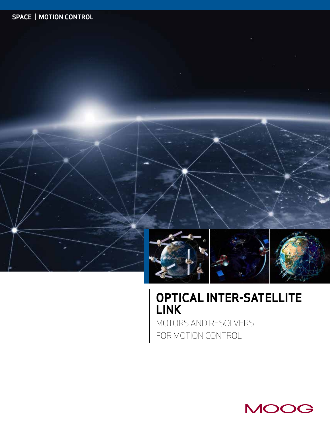

## **OPTICAL INTER-SATELLITE LINK**

MOTORS AND RESOLVERS FOR MOTION CONTROL

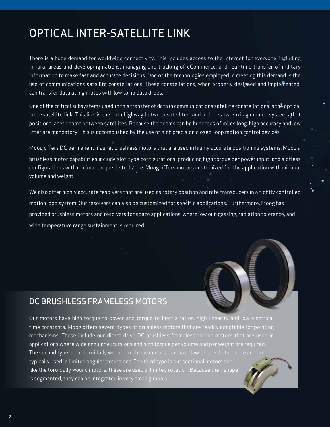## OPTICAL INTER-SATELLITE LINK

There is a huge demand for worldwide connectivity. This includes access to the Internet for everyone, including in rural areas and developing nations, managing and tracking of eCommerce, and real-time transfer of military information to make fast and accurate decisions. One of the technologies employed in meeting this demand is the use of communications satellite constellations. These constellations, when properly designed and implemented, can transfer data at high rates with low to no data drops.

One of the critical subsystems used in this transfer of data in communications satellite constellations is the optical inter-satellite link. This link is the data highway between satellites, and includes two-axis gimbaled systems that positions laser beams between satellites. Because the beams can be hundreds of miles long, high accuracy and low jitter are mandatory. This is accomplished by the use of high precision closed-loop motion control devices.

Moog offers DC permanent magnet brushless motors that are used in highly accurate positioning systems. Moog's brushless motor capabilities include slot-type configurations, producing high torque per power input, and slotless configurations with minimal torque disturbance. Moog offers motors customized for the application with minimal volume and weight.

We also offer highly accurate resolvers that are used as rotary position and rate transducers in a tightly controlled motion loop system. Our resolvers can also be customized for specific applications. Furthermore, Moog has provided brushless motors and resolvers for space applications, where low out-gassing, radiation tolerance, and wide temperature range sustainment is required.



## DC BRUSHLESS FRAMELESS MOTORS

Our motors have high torque-to-power and torque-to-inertia ratios, high linearity and low electrical time constants. Moog offers several types of brushless motors that are readily adaptable for pointing mechanisms. These include our direct drive DC brushless frameless torque motors that are used in applications where wide angular excursions and high torque per volume and per weight are required. The second type is our toroidally wound brushless motors that have low torque disturbance and are typically used in limited angular excursions. The third type is our sectional motors and like the toroidally wound motors, these are used in limited rotation. Because their shape is segmented, they can be integrated in very small gimbals.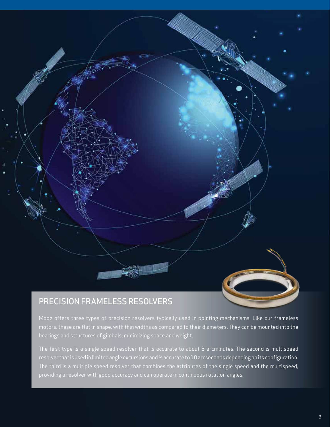

Moog offers three types of precision resolvers typically used in pointing mechanisms. Like our frameless

motors, these are flat in shape, with thin widths as compared to their diameters. They can be mounted into the bearings and structures of gimbals, minimizing space and weight.

The first type is a single speed resolver that is accurate to about 3 arcminutes. The second is multispeed resolver that is used in limited angle excursions and is accurate to 10 arcseconds depending on its configuration. The third is a multiple speed resolver that combines the attributes of the single speed and the multispeed, providing a resolver with good accuracy and can operate in continuous rotation angles.